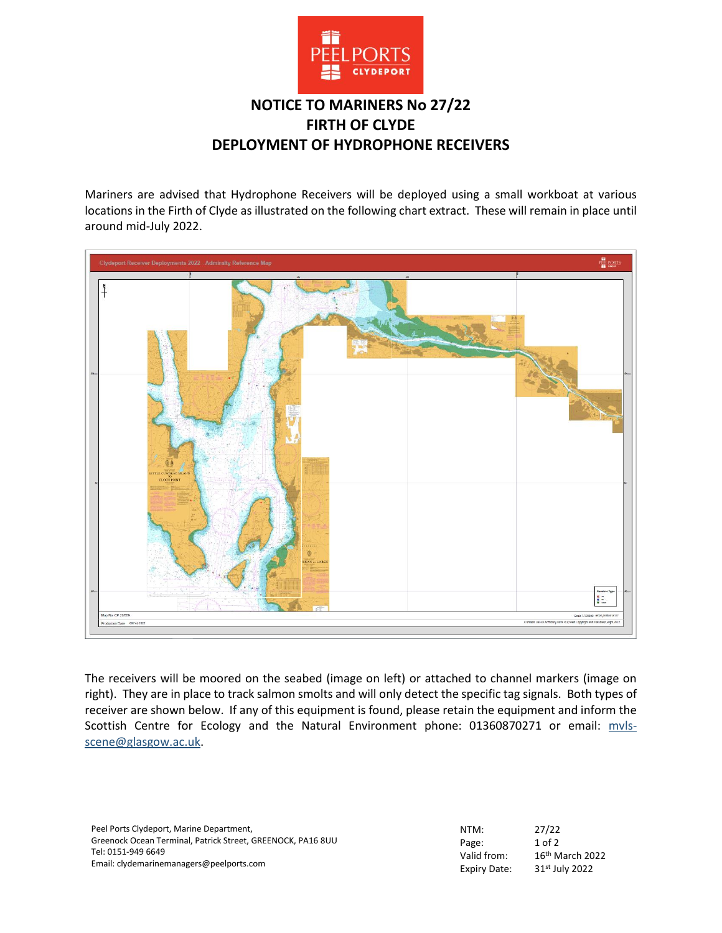

## **NOTICE TO MARINERS No 27/22 FIRTH OF CLYDE DEPLOYMENT OF HYDROPHONE RECEIVERS**

Mariners are advised that Hydrophone Receivers will be deployed using a small workboat at various locations in the Firth of Clyde as illustrated on the following chart extract. These will remain in place until around mid-July 2022.



The receivers will be moored on the seabed (image on left) or attached to channel markers (image on right). They are in place to track salmon smolts and will only detect the specific tag signals. Both types of receiver are shown below. If any of this equipment is found, please retain the equipment and inform the Scottish Centre for Ecology and the Natural Environment phone: 01360870271 or email: [mvls](mailto:mvls-scene@glasgow.ac.uk)[scene@glasgow.ac.uk.](mailto:mvls-scene@glasgow.ac.uk)

| Peel Ports Clydeport, Marine Department,                    | NTM:         | 27/22                      |
|-------------------------------------------------------------|--------------|----------------------------|
| Greenock Ocean Terminal, Patrick Street, GREENOCK, PA16 8UU | Page:        | $1$ of $2$                 |
| Tel: 0151-949 6649                                          | Valid from:  | $16th$ March 2022          |
| Email: clydemarinemanagers@peelports.com                    | Expiry Date: | 31 <sup>st</sup> July 2022 |